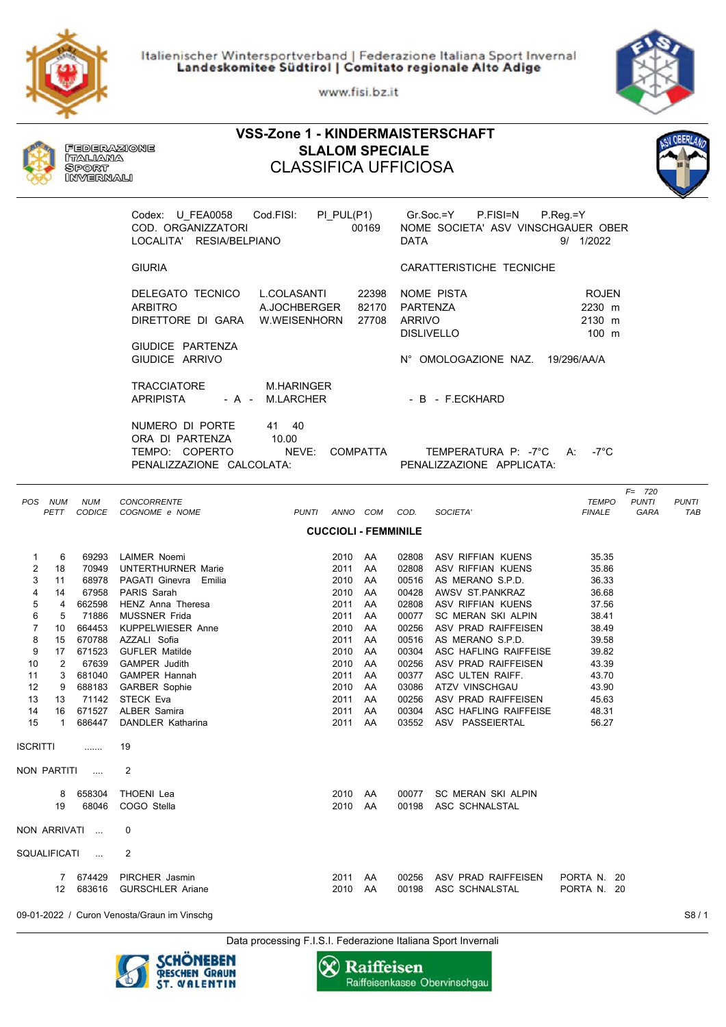Italienischer Wintersportverband | Federazione Italiana Sport Invernal Landeskomitee Südtirol | Comitato regionale Alto Adige

www.fisi.bz.it

**VSS-Zone 1 - KINDERMAISTERSCHAFT**





Data processing F.I.S.I. Federazione Italiana Sport Invernali



**FEDERAZIONE** 

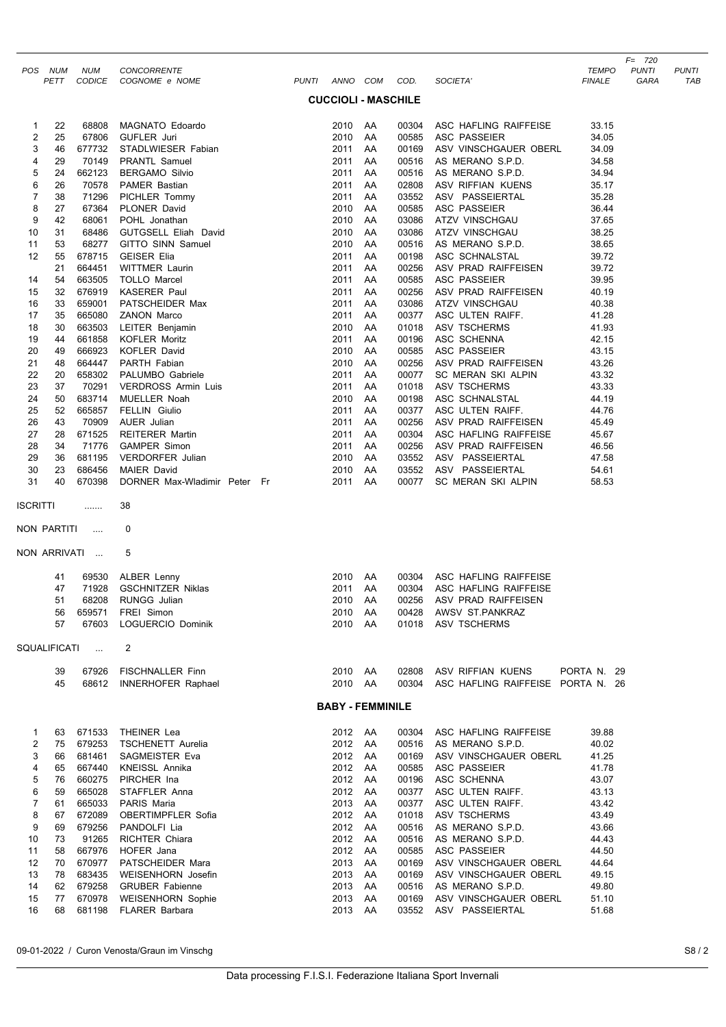|                         | POS NUM  | NUM              | CONCORRENTE                                                                                                                                                                                                                                                              |                            |          |                |                                           | <b>TEMPO</b>   | $F = 720$<br><b>PUNTI</b> | <b>PUNTI</b> |
|-------------------------|----------|------------------|--------------------------------------------------------------------------------------------------------------------------------------------------------------------------------------------------------------------------------------------------------------------------|----------------------------|----------|----------------|-------------------------------------------|----------------|---------------------------|--------------|
|                         | PETT     |                  | CODICE COGNOME e NOME                                                                                                                                                                                                                                                    | PUNTI ANNO COM COD.        |          |                | SOCIETA'                                  | <b>FINALE</b>  | GARA                      | TAE          |
|                         |          |                  |                                                                                                                                                                                                                                                                          | <b>CUCCIOLI - MASCHILE</b> |          |                |                                           |                |                           |              |
| 1                       | 22       | 68808            | MAGNATO Edoardo                                                                                                                                                                                                                                                          | 2010 AA                    |          | 00304          | ASC HAFLING RAIFFEISE                     | 33.15          |                           |              |
| $\overline{\mathbf{c}}$ | 25       | 67806            | <b>GUFLER Juri</b>                                                                                                                                                                                                                                                       | 2010 AA                    |          | 00585          | <b>ASC PASSEIER</b>                       | 34.05          |                           |              |
| 3                       | 46       | 677732           |                                                                                                                                                                                                                                                                          | 2011 AA                    |          | 00169          | ASV VINSCHGAUER OBERL                     | 34.09          |                           |              |
| 4                       | 29       | 70149            |                                                                                                                                                                                                                                                                          | 2011 AA                    |          | 00516          | AS MERANO S.P.D.                          | 34.58          |                           |              |
| 5<br>6                  | 24<br>26 | 662123<br>70578  |                                                                                                                                                                                                                                                                          | 2011 AA<br>2011            | AA       | 00516<br>02808 | AS MERANO S.P.D.<br>ASV RIFFIAN KUENS     | 34.94<br>35.17 |                           |              |
| 7                       | 38       | 71296            |                                                                                                                                                                                                                                                                          | 2011                       | AA       | 03552          | ASV PASSEIERTAL                           | 35.28          |                           |              |
| 8                       | 27       | 67364            | STADLWIESER Fabian<br>PRANTL Samuel<br>BERGAMO Silvio<br>PAMER Bastian<br>PICHLER Tommy<br>PLONER David<br>POHL Jonathan                                                                                                                                                 | 2010                       | AA       | 00585          | ASC PASSEIER                              | 36.44          |                           |              |
| 9                       | 42       | 68061            |                                                                                                                                                                                                                                                                          | 2010 AA                    |          | 03086          | ATZV VINSCHGAU                            | 37.65          |                           |              |
| 10                      | 31       | 68486            | GUTGSELL Eliah David                                                                                                                                                                                                                                                     | 2010 AA                    |          | 03086          | ATZV VINSCHGAU                            | 38.25          |                           |              |
| 11                      | 53       | 68277            | GUTGSELL Eliah David<br>GITTO SINN Samuel<br>GEISER Elia<br>WITTMER Laurin<br>TOLLO Marcel<br>KASERER Paul<br>PATSCHEIDER Max<br>ZANON Marco<br>LEITER Benjamin<br>NOFLER Moritz<br>KOFLER David<br>PARTH Fabian<br>PALUMBO Gabriele<br>VERDROSS Armin Luis<br>MUELLER N | 2010                       | AA       | 00516          | AS MERANO S.P.D.                          | 38.65          |                           |              |
| 12                      | 55       | 678715           |                                                                                                                                                                                                                                                                          | 2011                       | AA       | 00198          | ASC SCHNALSTAL                            | 39.72          |                           |              |
| 14                      | 21<br>54 | 664451<br>663505 |                                                                                                                                                                                                                                                                          | 2011 AA<br>2011            | AA       | 00256<br>00585 | ASV PRAD RAIFFEISEN<br>ASC PASSEIER       | 39.72<br>39.95 |                           |              |
| 15                      | 32       | 676919           |                                                                                                                                                                                                                                                                          | 2011 AA                    |          | 00256          | ASV PRAD RAIFFEISEN                       | 40.19          |                           |              |
| 16                      | 33       | 659001           |                                                                                                                                                                                                                                                                          | 2011                       | AA       | 03086          | ATZV VINSCHGAU                            | 40.38          |                           |              |
| 17                      | 35       | 665080           |                                                                                                                                                                                                                                                                          | 2011                       | AA       | 00377          | ASC ULTEN RAIFF.                          | 41.28          |                           |              |
| 18                      | 30       | 663503           |                                                                                                                                                                                                                                                                          | 2010 AA                    |          | 01018          | ASV TSCHERMS                              | 41.93          |                           |              |
| 19                      | 44       | 661858           |                                                                                                                                                                                                                                                                          | 2011                       | AA       | 00196          | ASC SCHENNA                               | 42.15          |                           |              |
| 20                      | 49       | 666923           |                                                                                                                                                                                                                                                                          | 2010                       | AA       | 00585          | <b>ASC PASSEIER</b>                       | 43.15          |                           |              |
| 21                      | 48       | 664447<br>658302 |                                                                                                                                                                                                                                                                          | 2010                       | AA       | 00256          | ASV PRAD RAIFFEISEN                       | 43.26          |                           |              |
| 22<br>23                | 20<br>37 | 70291            |                                                                                                                                                                                                                                                                          | 2011<br>2011               | AA<br>AA | 00077<br>01018 | SC MERAN SKI ALPIN<br>ASV TSCHERMS        | 43.32<br>43.33 |                           |              |
| 24                      | 50       | 683714           | MUELLER Noah                                                                                                                                                                                                                                                             | 2010                       | AA       | 00198          | ASC SCHNALSTAL                            | 44.19          |                           |              |
| 25                      | 52       | 665857           | FELLIN Giulio                                                                                                                                                                                                                                                            | 2011 AA                    |          | 00377          | ASC ULTEN RAIFF.                          | 44.76          |                           |              |
| 26                      | 43       | 70909            | AUER Julian                                                                                                                                                                                                                                                              | 2011 AA                    |          | 00256          | ASV PRAD RAIFFEISEN                       | 45.49          |                           |              |
| 27                      | 28       | 671525           | <b>REITERER Martin</b>                                                                                                                                                                                                                                                   | 2011                       | AA       | 00304          | ASC HAFLING RAIFFEISE                     | 45.67          |                           |              |
| 28                      | 34       | 71776            | <b>GAMPER Simon</b>                                                                                                                                                                                                                                                      | 2011 AA                    |          | 00256          | ASV PRAD RAIFFEISEN                       | 46.56          |                           |              |
| 29                      | 36       | 681195           | VERDORFER Julian                                                                                                                                                                                                                                                         | 2010 AA                    |          | 03552          | ASV PASSEIERTAL                           | 47.58          |                           |              |
| 30<br>31                | 23<br>40 | 686456<br>670398 | <b>MAIER David</b><br>DORNER Max-Wladimir Peter Fr                                                                                                                                                                                                                       | 2010 AA<br>2011 AA         |          | 03552<br>00077 | ASV PASSEIERTAL<br>SC MERAN SKI ALPIN     | 54.61<br>58.53 |                           |              |
| ISCRITTI                |          |                  | 38                                                                                                                                                                                                                                                                       |                            |          |                |                                           |                |                           |              |
| NON PARTITI             |          | $\ldots$ .       | 0                                                                                                                                                                                                                                                                        |                            |          |                |                                           |                |                           |              |
|                         |          | NON ARRIVATI     | 5                                                                                                                                                                                                                                                                        |                            |          |                |                                           |                |                           |              |
|                         |          |                  |                                                                                                                                                                                                                                                                          |                            |          |                | ASC HAFLING RAIFFEISE                     |                |                           |              |
|                         | 41<br>47 | 71928            | 69530 ALBER Lenny<br><b>GSCHNITZER Niklas</b>                                                                                                                                                                                                                            | 2010 AA<br>2011 AA         |          | 00304<br>00304 | ASC HAFLING RAIFFEISE                     |                |                           |              |
|                         | 51       |                  | 68208 RUNGG Julian                                                                                                                                                                                                                                                       | 2010 AA                    |          |                | 00256 ASV PRAD RAIFFEISEN                 |                |                           |              |
|                         | 56       | 659571           | FREI Simon                                                                                                                                                                                                                                                               | 2010 AA                    |          | 00428          | AWSV ST.PANKRAZ                           |                |                           |              |
|                         | 57       | 67603            | LOGUERCIO Dominik                                                                                                                                                                                                                                                        | 2010 AA                    |          | 01018          | ASV TSCHERMS                              |                |                           |              |
| SQUALIFICATI            |          | $\sim 10$        | 2                                                                                                                                                                                                                                                                        |                            |          |                |                                           |                |                           |              |
|                         | 39       | 67926            | <b>FISCHNALLER Finn</b>                                                                                                                                                                                                                                                  | 2010 AA                    |          | 02808          | ASV RIFFIAN KUENS                         | PORTA N. 29    |                           |              |
|                         | 45       | 68612            | <b>INNERHOFER Raphael</b>                                                                                                                                                                                                                                                | 2010 AA                    |          | 00304          | ASC HAFLING RAIFFEISE PORTA N. 26         |                |                           |              |
|                         |          |                  |                                                                                                                                                                                                                                                                          | <b>BABY - FEMMINILE</b>    |          |                |                                           |                |                           |              |
| 1                       | 63       | 671533           | THEINER Lea                                                                                                                                                                                                                                                              | 2012 AA                    |          | 00304          | ASC HAFLING RAIFFEISE                     | 39.88          |                           |              |
| 2                       | 75       | 679253           | <b>TSCHENETT Aurelia</b>                                                                                                                                                                                                                                                 | 2012 AA                    |          | 00516          | AS MERANO S.P.D.                          | 40.02          |                           |              |
| 3                       | 66       | 681461           | SAGMEISTER Eva                                                                                                                                                                                                                                                           | 2012 AA                    |          | 00169          | ASV VINSCHGAUER OBERL                     | 41.25          |                           |              |
| 4                       | 65       |                  | 667440 KNEISSL Annika                                                                                                                                                                                                                                                    | 2012 AA                    |          | 00585          | ASC PASSEIER                              | 41.78          |                           |              |
| 5                       | 76       | 660275           | PIRCHER Ina                                                                                                                                                                                                                                                              | 2012 AA                    |          | 00196          | ASC SCHENNA                               | 43.07          |                           |              |
| 6<br>7                  | 59<br>61 | 665028<br>665033 | STAFFLER Anna<br>PARIS Maria                                                                                                                                                                                                                                             | 2012 AA<br>2013 AA         |          | 00377<br>00377 | ASC ULTEN RAIFF.<br>ASC ULTEN RAIFF.      | 43.13<br>43.42 |                           |              |
| 8                       | 67       | 672089           | OBERTIMPFLER Sofia                                                                                                                                                                                                                                                       | 2012 AA                    |          | 01018          | ASV TSCHERMS                              | 43.49          |                           |              |
| 9                       | 69       | 679256           | PANDOLFI Lia                                                                                                                                                                                                                                                             | 2012 AA                    |          | 00516          | AS MERANO S.P.D.                          | 43.66          |                           |              |
| 10                      | 73       | 91265            | <b>RICHTER Chiara</b>                                                                                                                                                                                                                                                    | 2012 AA                    |          | 00516          | AS MERANO S.P.D.                          | 44.43          |                           |              |
| 11                      | 58       | 667976           | HOFER Jana                                                                                                                                                                                                                                                               | 2012 AA                    |          | 00585          | ASC PASSEIER                              | 44.50          |                           |              |
| 12                      | 70       | 670977           | PATSCHEIDER Mara                                                                                                                                                                                                                                                         | 2013 AA                    |          | 00169          | ASV VINSCHGAUER OBERL                     | 44.64          |                           |              |
| 13                      | 78       | 683435           | WEISENHORN Josefin                                                                                                                                                                                                                                                       | 2013 AA                    |          | 00169          | ASV VINSCHGAUER OBERL                     | 49.15          |                           |              |
| 14<br>15                | 62<br>77 | 679258<br>670978 | <b>GRUBER Fabienne</b><br><b>WEISENHORN Sophie</b>                                                                                                                                                                                                                       | 2013 AA<br>2013 AA         |          | 00516<br>00169 | AS MERANO S.P.D.<br>ASV VINSCHGAUER OBERL | 49.80<br>51.10 |                           |              |
| 16                      | 68       |                  | 681198 FLARER Barbara                                                                                                                                                                                                                                                    | 2013 AA                    |          |                | 03552 ASV PASSEIERTAL                     | 51.68          |                           |              |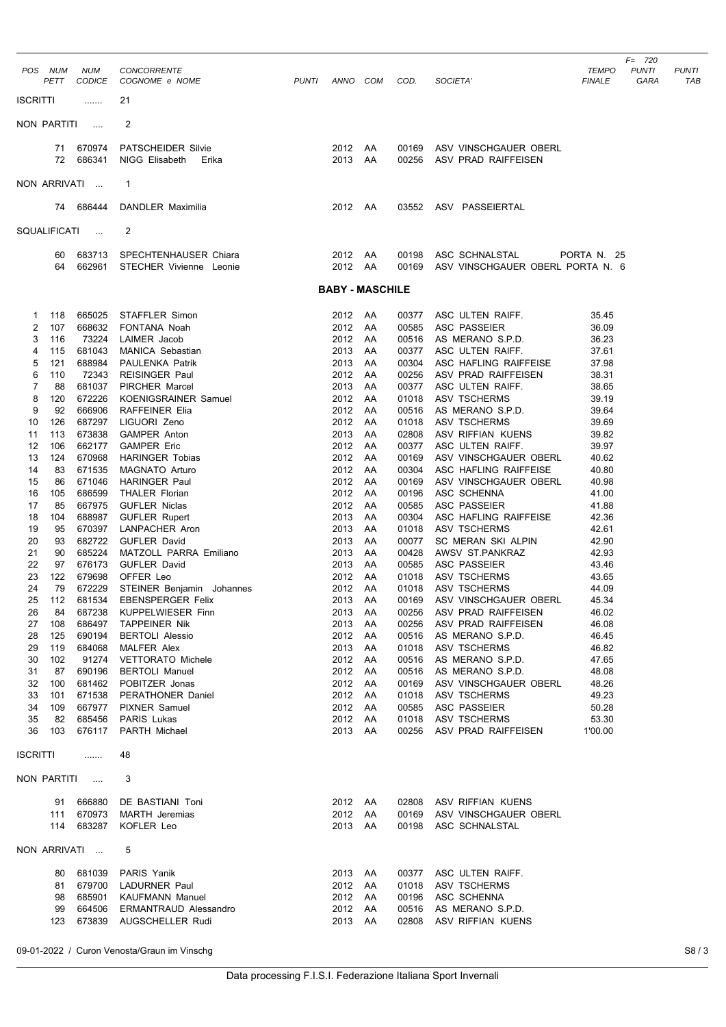| POS NUM<br>PETT                                                                                                                                                                                                                                                          | <b>NUM</b><br><b>CODICE</b>                                                                                                                                                                                            | <b>CONCORRENTE</b><br>COGNOME e NOME                                                                                                                                                                                                                                                                                                                                                                                                                                                         | PUNTI | ANNO COM                                                                                                                                                                                    |                                                                                                    | COD.                                                                                                                                                                                               | SOCIETA'                                                                                                                                                                                                                                                                                                                                                                                                                                              | <b>TEMPO</b><br><b>FINALE</b>                                                                                                                                                                      | $F = 720$<br><b>PUNTI</b><br>GARA | <b>PUNTI</b><br>TAE |
|--------------------------------------------------------------------------------------------------------------------------------------------------------------------------------------------------------------------------------------------------------------------------|------------------------------------------------------------------------------------------------------------------------------------------------------------------------------------------------------------------------|----------------------------------------------------------------------------------------------------------------------------------------------------------------------------------------------------------------------------------------------------------------------------------------------------------------------------------------------------------------------------------------------------------------------------------------------------------------------------------------------|-------|---------------------------------------------------------------------------------------------------------------------------------------------------------------------------------------------|----------------------------------------------------------------------------------------------------|----------------------------------------------------------------------------------------------------------------------------------------------------------------------------------------------------|-------------------------------------------------------------------------------------------------------------------------------------------------------------------------------------------------------------------------------------------------------------------------------------------------------------------------------------------------------------------------------------------------------------------------------------------------------|----------------------------------------------------------------------------------------------------------------------------------------------------------------------------------------------------|-----------------------------------|---------------------|
| <b>ISCRITTI</b>                                                                                                                                                                                                                                                          | .                                                                                                                                                                                                                      | 21                                                                                                                                                                                                                                                                                                                                                                                                                                                                                           |       |                                                                                                                                                                                             |                                                                                                    |                                                                                                                                                                                                    |                                                                                                                                                                                                                                                                                                                                                                                                                                                       |                                                                                                                                                                                                    |                                   |                     |
| NON PARTITI                                                                                                                                                                                                                                                              | $\cdots$                                                                                                                                                                                                               | 2                                                                                                                                                                                                                                                                                                                                                                                                                                                                                            |       |                                                                                                                                                                                             |                                                                                                    |                                                                                                                                                                                                    |                                                                                                                                                                                                                                                                                                                                                                                                                                                       |                                                                                                                                                                                                    |                                   |                     |
| 72                                                                                                                                                                                                                                                                       | 71 670974<br>686341                                                                                                                                                                                                    | <b>PATSCHEIDER Silvie</b><br>NIGG Elisabeth<br>Erika                                                                                                                                                                                                                                                                                                                                                                                                                                         |       | 2012 AA<br>2013 AA                                                                                                                                                                          |                                                                                                    | 00169<br>00256                                                                                                                                                                                     | ASV VINSCHGAUER OBERL<br>ASV PRAD RAIFFEISEN                                                                                                                                                                                                                                                                                                                                                                                                          |                                                                                                                                                                                                    |                                   |                     |
| NON ARRIVATI                                                                                                                                                                                                                                                             |                                                                                                                                                                                                                        | 1                                                                                                                                                                                                                                                                                                                                                                                                                                                                                            |       |                                                                                                                                                                                             |                                                                                                    |                                                                                                                                                                                                    |                                                                                                                                                                                                                                                                                                                                                                                                                                                       |                                                                                                                                                                                                    |                                   |                     |
|                                                                                                                                                                                                                                                                          | 74 686444                                                                                                                                                                                                              | DANDLER Maximilia                                                                                                                                                                                                                                                                                                                                                                                                                                                                            |       | 2012 AA                                                                                                                                                                                     |                                                                                                    | 03552                                                                                                                                                                                              | ASV PASSEIERTAL                                                                                                                                                                                                                                                                                                                                                                                                                                       |                                                                                                                                                                                                    |                                   |                     |
| SQUALIFICATI                                                                                                                                                                                                                                                             | $\sim$ 100 $\mu$                                                                                                                                                                                                       | 2                                                                                                                                                                                                                                                                                                                                                                                                                                                                                            |       |                                                                                                                                                                                             |                                                                                                    |                                                                                                                                                                                                    |                                                                                                                                                                                                                                                                                                                                                                                                                                                       |                                                                                                                                                                                                    |                                   |                     |
| 60<br>64                                                                                                                                                                                                                                                                 | 683713<br>662961                                                                                                                                                                                                       | SPECHTENHAUSER Chiara<br>STECHER Vivienne Leonie                                                                                                                                                                                                                                                                                                                                                                                                                                             |       | 2012 AA<br>2012 AA                                                                                                                                                                          |                                                                                                    | 00198<br>00169                                                                                                                                                                                     | ASC SCHNALSTAL<br>ASV VINSCHGAUER OBERL PORTA N. 6                                                                                                                                                                                                                                                                                                                                                                                                    | PORTA N. 25                                                                                                                                                                                        |                                   |                     |
|                                                                                                                                                                                                                                                                          |                                                                                                                                                                                                                        |                                                                                                                                                                                                                                                                                                                                                                                                                                                                                              |       | <b>BABY - MASCHILE</b>                                                                                                                                                                      |                                                                                                    |                                                                                                                                                                                                    |                                                                                                                                                                                                                                                                                                                                                                                                                                                       |                                                                                                                                                                                                    |                                   |                     |
| 118<br>1<br>2<br>107<br>116<br>3<br>4<br>115<br>121<br>5<br>110<br>6<br>7<br>88<br>8<br>120<br>9<br>92<br>126<br>10<br>11<br>113<br>12<br>106<br>124<br>13<br>14<br>83<br>15<br>86<br>16<br>105<br>17<br>85<br>18<br>104<br>19<br>95<br>20<br>93<br>21<br>90<br>22<br>97 | 665025<br>668632<br>73224<br>681043<br>688984<br>72343<br>681037<br>672226<br>666906<br>687297<br>673838<br>662177<br>670968<br>671535<br>671046<br>686599<br>667975<br>688987<br>670397<br>682722<br>685224<br>676173 | STAFFLER Simon<br>FONTANA Noah<br>LAIMER Jacob<br>MANICA Sebastian<br>PAULENKA Patrik<br><b>REISINGER Paul</b><br>PIRCHER Marcel<br><b>KOENIGSRAINER Samuel</b><br><b>RAFFEINER Elia</b><br>LIGUORI Zeno<br><b>GAMPER Anton</b><br><b>GAMPER Eric</b><br><b>HARINGER Tobias</b><br>MAGNATO Arturo<br><b>HARINGER Paul</b><br><b>THALER Florian</b><br><b>GUFLER Niclas</b><br><b>GUFLER Rupert</b><br>LANPACHER Aron<br><b>GUFLER David</b><br>MATZOLL PARRA Emiliano<br><b>GUFLER David</b> |       | 2012 AA<br>2012<br>2012<br>2013<br>2013<br>2012<br>2013<br>2012 AA<br>2012<br>2012<br>2013<br>2012 AA<br>2012<br>2012<br>2012 AA<br>2012 AA<br>2012<br>2013<br>2013<br>2013<br>2013<br>2013 | AA<br>AA<br>AA<br>AA<br>AA<br>AA<br>AA<br>AA<br>AA<br>AA<br>AA<br>AA<br>AA<br>AA<br>AA<br>AA<br>AA | 00377<br>00585<br>00516<br>00377<br>00304<br>00256<br>00377<br>01018<br>00516<br>01018<br>02808<br>00377<br>00169<br>00304<br>00169<br>00196<br>00585<br>00304<br>01018<br>00077<br>00428<br>00585 | ASC ULTEN RAIFF.<br>ASC PASSEIER<br>AS MERANO S.P.D.<br>ASC ULTEN RAIFF.<br>ASC HAFLING RAIFFEISE<br>ASV PRAD RAIFFEISEN<br>ASC ULTEN RAIFF.<br>ASV TSCHERMS<br>AS MERANO S.P.D.<br>ASV TSCHERMS<br>ASV RIFFIAN KUENS<br>ASC ULTEN RAIFF.<br>ASV VINSCHGAUER OBERL<br>ASC HAFLING RAIFFEISE<br>ASV VINSCHGAUER OBERL<br>ASC SCHENNA<br>ASC PASSEIER<br>ASC HAFLING RAIFFEISE<br>ASV TSCHERMS<br>SC MERAN SKI ALPIN<br>AWSV ST.PANKRAZ<br>ASC PASSEIER | 35.45<br>36.09<br>36.23<br>37.61<br>37.98<br>38.31<br>38.65<br>39.19<br>39.64<br>39.69<br>39.82<br>39.97<br>40.62<br>40.80<br>40.98<br>41.00<br>41.88<br>42.36<br>42.61<br>42.90<br>42.93<br>43.46 |                                   |                     |
| 23<br>122<br>24<br>79<br>25<br>112<br>26<br>84<br>27<br>108<br>28<br>125<br>119<br>29<br>30<br>102<br>31<br>87<br>32<br>100<br>33<br>101<br>34<br>109<br>35<br>82<br>36<br>103                                                                                           | 679698<br>672229<br>681534<br>687238<br>686497<br>690194<br>684068<br>91274<br>690196<br>681462<br>671538<br>667977<br>685456<br>676117                                                                                | OFFER Leo<br>STEINER Benjamin Johannes<br>EBENSPERGER Felix<br><b>KUPPELWIESER Finn</b><br><b>TAPPEINER Nik</b><br><b>BERTOLI Alessio</b><br><b>MALFER Alex</b><br><b>VETTORATO Michele</b><br><b>BERTOLI Manuel</b><br>POBITZER Jonas<br>PERATHONER Daniel<br><b>PIXNER Samuel</b><br>PARIS Lukas<br>PARTH Michael                                                                                                                                                                          |       | 2012 AA<br>2012 AA<br>2013<br>2013 AA<br>2013 AA<br>2012 AA<br>2013 AA<br>2012 AA<br>2012 AA<br>2012 AA<br>2012 AA<br>2012 AA<br>2012 AA<br>2013 AA                                         | AA                                                                                                 | 01018<br>01018<br>00169<br>00256<br>00256<br>00516<br>01018<br>00516<br>00516<br>00169<br>01018<br>00585<br>01018<br>00256                                                                         | ASV TSCHERMS<br>ASV TSCHERMS<br>ASV VINSCHGAUER OBERL<br>ASV PRAD RAIFFEISEN<br>ASV PRAD RAIFFEISEN<br>AS MERANO S.P.D.<br>ASV TSCHERMS<br>AS MERANO S.P.D.<br>AS MERANO S.P.D.<br>ASV VINSCHGAUER OBERL<br>ASV TSCHERMS<br>ASC PASSEIER<br>ASV TSCHERMS<br>ASV PRAD RAIFFEISEN                                                                                                                                                                       | 43.65<br>44.09<br>45.34<br>46.02<br>46.08<br>46.45<br>46.82<br>47.65<br>48.08<br>48.26<br>49.23<br>50.28<br>53.30<br>1'00.00                                                                       |                                   |                     |
| <b>ISCRITTI</b>                                                                                                                                                                                                                                                          |                                                                                                                                                                                                                        | 48                                                                                                                                                                                                                                                                                                                                                                                                                                                                                           |       |                                                                                                                                                                                             |                                                                                                    |                                                                                                                                                                                                    |                                                                                                                                                                                                                                                                                                                                                                                                                                                       |                                                                                                                                                                                                    |                                   |                     |
| NON PARTITI<br>111<br>114                                                                                                                                                                                                                                                | $\sim$<br>91 666880<br>670973<br>683287                                                                                                                                                                                | 3<br>DE BASTIANI Toni<br><b>MARTH</b> Jeremias<br>KOFLER Leo                                                                                                                                                                                                                                                                                                                                                                                                                                 |       | 2012 AA<br>2012 AA<br>2013 AA                                                                                                                                                               |                                                                                                    | 02808<br>00169<br>00198                                                                                                                                                                            | ASV RIFFIAN KUENS<br>ASV VINSCHGAUER OBERL<br>ASC SCHNALSTAL                                                                                                                                                                                                                                                                                                                                                                                          |                                                                                                                                                                                                    |                                   |                     |
| NON ARRIVATI                                                                                                                                                                                                                                                             |                                                                                                                                                                                                                        | 5                                                                                                                                                                                                                                                                                                                                                                                                                                                                                            |       |                                                                                                                                                                                             |                                                                                                    |                                                                                                                                                                                                    |                                                                                                                                                                                                                                                                                                                                                                                                                                                       |                                                                                                                                                                                                    |                                   |                     |
| 80<br>81<br>98<br>99<br>123                                                                                                                                                                                                                                              | 681039<br>679700<br>685901<br>664506<br>673839                                                                                                                                                                         | PARIS Yanik<br>LADURNER Paul<br><b>KAUFMANN Manuel</b><br>ERMANTRAUD Alessandro<br><b>AUGSCHELLER Rudi</b>                                                                                                                                                                                                                                                                                                                                                                                   |       | 2013 AA<br>2012 AA<br>2012 AA<br>2012 AA<br>2013 AA                                                                                                                                         |                                                                                                    | 00377<br>01018<br>00196<br>00516<br>02808                                                                                                                                                          | ASC ULTEN RAIFF.<br>ASV TSCHERMS<br>ASC SCHENNA<br>AS MERANO S.P.D.<br>ASV RIFFIAN KUENS                                                                                                                                                                                                                                                                                                                                                              |                                                                                                                                                                                                    |                                   |                     |

09-01-2022 / Curon Venosta/Graun im Vinschg S8 / 3